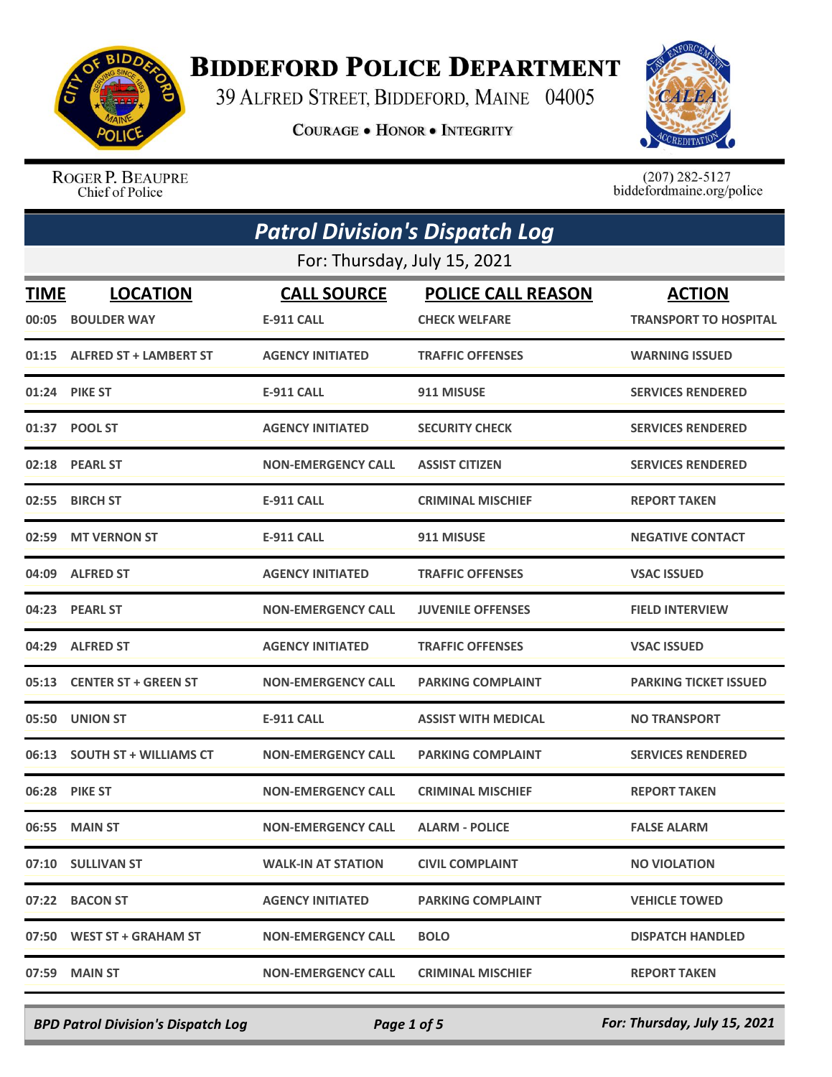

## **BIDDEFORD POLICE DEPARTMENT**

39 ALFRED STREET, BIDDEFORD, MAINE 04005

**COURAGE . HONOR . INTEGRITY** 



ROGER P. BEAUPRE Chief of Police

 $(207)$  282-5127<br>biddefordmaine.org/police

|             | <b>Patrol Division's Dispatch Log</b> |                           |                            |                              |  |
|-------------|---------------------------------------|---------------------------|----------------------------|------------------------------|--|
|             | For: Thursday, July 15, 2021          |                           |                            |                              |  |
| <b>TIME</b> | <b>LOCATION</b>                       | <b>CALL SOURCE</b>        | <b>POLICE CALL REASON</b>  | <b>ACTION</b>                |  |
| 00:05       | <b>BOULDER WAY</b>                    | <b>E-911 CALL</b>         | <b>CHECK WELFARE</b>       | <b>TRANSPORT TO HOSPITAL</b> |  |
|             | 01:15 ALFRED ST + LAMBERT ST          | <b>AGENCY INITIATED</b>   | <b>TRAFFIC OFFENSES</b>    | <b>WARNING ISSUED</b>        |  |
|             | 01:24 PIKE ST                         | <b>E-911 CALL</b>         | 911 MISUSE                 | <b>SERVICES RENDERED</b>     |  |
| 01:37       | <b>POOL ST</b>                        | <b>AGENCY INITIATED</b>   | <b>SECURITY CHECK</b>      | <b>SERVICES RENDERED</b>     |  |
|             | 02:18 PEARL ST                        | <b>NON-EMERGENCY CALL</b> | <b>ASSIST CITIZEN</b>      | <b>SERVICES RENDERED</b>     |  |
| 02:55       | <b>BIRCH ST</b>                       | <b>E-911 CALL</b>         | <b>CRIMINAL MISCHIEF</b>   | <b>REPORT TAKEN</b>          |  |
| 02:59       | <b>MT VERNON ST</b>                   | <b>E-911 CALL</b>         | 911 MISUSE                 | <b>NEGATIVE CONTACT</b>      |  |
| 04:09       | <b>ALFRED ST</b>                      | <b>AGENCY INITIATED</b>   | <b>TRAFFIC OFFENSES</b>    | <b>VSAC ISSUED</b>           |  |
|             | 04:23 PEARL ST                        | <b>NON-EMERGENCY CALL</b> | <b>JUVENILE OFFENSES</b>   | <b>FIELD INTERVIEW</b>       |  |
| 04:29       | <b>ALFRED ST</b>                      | <b>AGENCY INITIATED</b>   | <b>TRAFFIC OFFENSES</b>    | <b>VSAC ISSUED</b>           |  |
| 05:13       | <b>CENTER ST + GREEN ST</b>           | <b>NON-EMERGENCY CALL</b> | <b>PARKING COMPLAINT</b>   | <b>PARKING TICKET ISSUED</b> |  |
| 05:50       | <b>UNION ST</b>                       | <b>E-911 CALL</b>         | <b>ASSIST WITH MEDICAL</b> | <b>NO TRANSPORT</b>          |  |
| 06:13       | <b>SOUTH ST + WILLIAMS CT</b>         | <b>NON-EMERGENCY CALL</b> | <b>PARKING COMPLAINT</b>   | <b>SERVICES RENDERED</b>     |  |
| 06:28       | <b>PIKE ST</b>                        | <b>NON-EMERGENCY CALL</b> | <b>CRIMINAL MISCHIEF</b>   | <b>REPORT TAKEN</b>          |  |
|             | 06:55 MAIN ST                         | <b>NON-EMERGENCY CALL</b> | <b>ALARM - POLICE</b>      | <b>FALSE ALARM</b>           |  |
|             | 07:10 SULLIVAN ST                     | <b>WALK-IN AT STATION</b> | <b>CIVIL COMPLAINT</b>     | <b>NO VIOLATION</b>          |  |
|             | 07:22 BACON ST                        | <b>AGENCY INITIATED</b>   | <b>PARKING COMPLAINT</b>   | <b>VEHICLE TOWED</b>         |  |
|             | 07:50 WEST ST + GRAHAM ST             | <b>NON-EMERGENCY CALL</b> | <b>BOLO</b>                | <b>DISPATCH HANDLED</b>      |  |
| 07:59       | <b>MAIN ST</b>                        | <b>NON-EMERGENCY CALL</b> | <b>CRIMINAL MISCHIEF</b>   | <b>REPORT TAKEN</b>          |  |

*BPD Patrol Division's Dispatch Log Page 1 of 5 For: Thursday, July 15, 2021*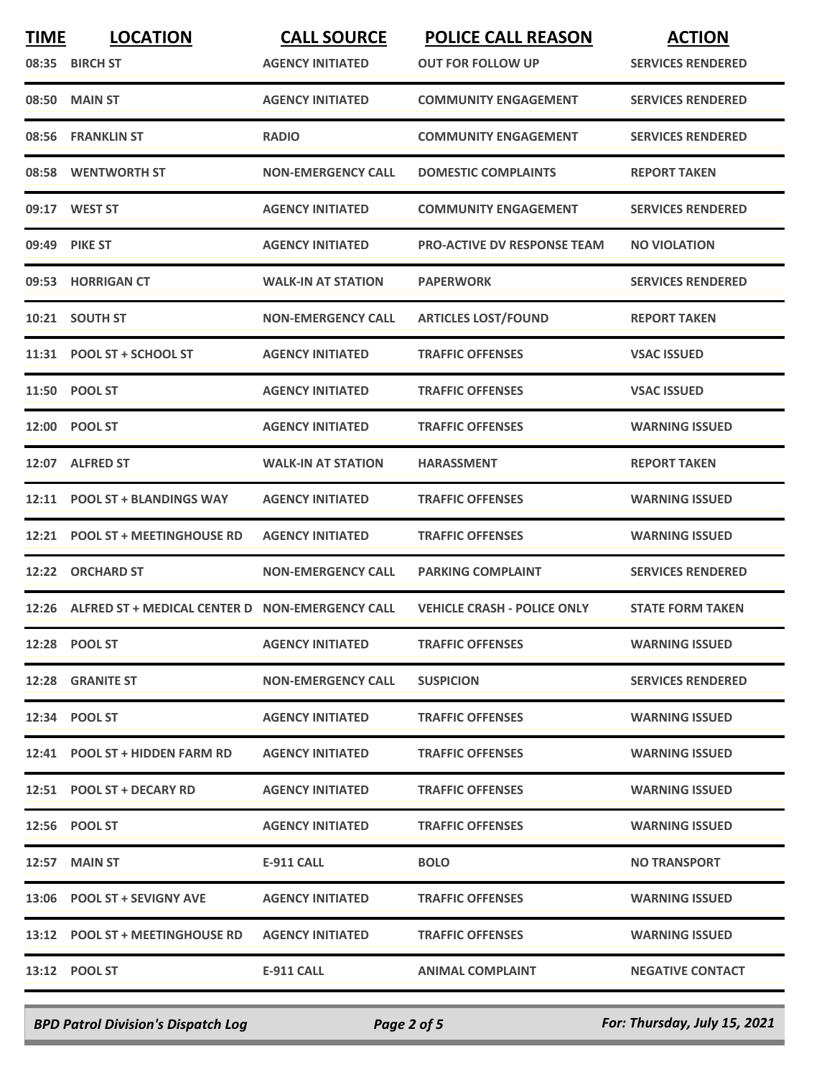| <b>TIME</b> | <b>LOCATION</b>                                 | <b>CALL SOURCE</b>        | <b>POLICE CALL REASON</b>          | <b>ACTION</b>            |
|-------------|-------------------------------------------------|---------------------------|------------------------------------|--------------------------|
|             | 08:35 BIRCH ST                                  | <b>AGENCY INITIATED</b>   | <b>OUT FOR FOLLOW UP</b>           | <b>SERVICES RENDERED</b> |
| 08:50       | <b>MAIN ST</b>                                  | <b>AGENCY INITIATED</b>   | <b>COMMUNITY ENGAGEMENT</b>        | <b>SERVICES RENDERED</b> |
| 08:56       | <b>FRANKLIN ST</b>                              | <b>RADIO</b>              | <b>COMMUNITY ENGAGEMENT</b>        | <b>SERVICES RENDERED</b> |
| 08:58       | <b>WENTWORTH ST</b>                             | <b>NON-EMERGENCY CALL</b> | <b>DOMESTIC COMPLAINTS</b>         | <b>REPORT TAKEN</b>      |
|             | 09:17 WEST ST                                   | <b>AGENCY INITIATED</b>   | <b>COMMUNITY ENGAGEMENT</b>        | <b>SERVICES RENDERED</b> |
| 09:49       | <b>PIKE ST</b>                                  | <b>AGENCY INITIATED</b>   | <b>PRO-ACTIVE DV RESPONSE TEAM</b> | <b>NO VIOLATION</b>      |
|             | 09:53 HORRIGAN CT                               | WALK-IN AT STATION        | <b>PAPERWORK</b>                   | <b>SERVICES RENDERED</b> |
|             | 10:21 SOUTH ST                                  | <b>NON-EMERGENCY CALL</b> | <b>ARTICLES LOST/FOUND</b>         | <b>REPORT TAKEN</b>      |
|             | 11:31 POOL ST + SCHOOL ST                       | <b>AGENCY INITIATED</b>   | <b>TRAFFIC OFFENSES</b>            | <b>VSAC ISSUED</b>       |
|             | 11:50 POOL ST                                   | <b>AGENCY INITIATED</b>   | <b>TRAFFIC OFFENSES</b>            | <b>VSAC ISSUED</b>       |
| 12:00       | <b>POOL ST</b>                                  | <b>AGENCY INITIATED</b>   | <b>TRAFFIC OFFENSES</b>            | <b>WARNING ISSUED</b>    |
| 12:07       | <b>ALFRED ST</b>                                | <b>WALK-IN AT STATION</b> | <b>HARASSMENT</b>                  | <b>REPORT TAKEN</b>      |
| 12:11       | <b>POOL ST + BLANDINGS WAY</b>                  | <b>AGENCY INITIATED</b>   | <b>TRAFFIC OFFENSES</b>            | <b>WARNING ISSUED</b>    |
| 12:21       | <b>POOL ST + MEETINGHOUSE RD</b>                | <b>AGENCY INITIATED</b>   | <b>TRAFFIC OFFENSES</b>            | <b>WARNING ISSUED</b>    |
| 12:22       | <b>ORCHARD ST</b>                               | <b>NON-EMERGENCY CALL</b> | <b>PARKING COMPLAINT</b>           | <b>SERVICES RENDERED</b> |
| 12:26       | ALFRED ST + MEDICAL CENTER D NON-EMERGENCY CALL |                           | <b>VEHICLE CRASH - POLICE ONLY</b> | <b>STATE FORM TAKEN</b>  |
|             | 12:28 POOL ST                                   | <b>AGENCY INITIATED</b>   | <b>TRAFFIC OFFENSES</b>            | <b>WARNING ISSUED</b>    |
|             | 12:28 GRANITE ST                                | <b>NON-EMERGENCY CALL</b> | <b>SUSPICION</b>                   | <b>SERVICES RENDERED</b> |
|             | 12:34 POOL ST                                   | <b>AGENCY INITIATED</b>   | <b>TRAFFIC OFFENSES</b>            | <b>WARNING ISSUED</b>    |
|             | 12:41 POOL ST + HIDDEN FARM RD                  | <b>AGENCY INITIATED</b>   | <b>TRAFFIC OFFENSES</b>            | <b>WARNING ISSUED</b>    |
|             | 12:51 POOL ST + DECARY RD                       | <b>AGENCY INITIATED</b>   | <b>TRAFFIC OFFENSES</b>            | <b>WARNING ISSUED</b>    |
|             | 12:56 POOL ST                                   | <b>AGENCY INITIATED</b>   | <b>TRAFFIC OFFENSES</b>            | <b>WARNING ISSUED</b>    |
|             | <b>12:57 MAIN ST</b>                            | E-911 CALL                | <b>BOLO</b>                        | <b>NO TRANSPORT</b>      |
|             | 13:06 POOL ST + SEVIGNY AVE                     | <b>AGENCY INITIATED</b>   | <b>TRAFFIC OFFENSES</b>            | <b>WARNING ISSUED</b>    |
|             | 13:12 POOL ST + MEETINGHOUSE RD                 | <b>AGENCY INITIATED</b>   | <b>TRAFFIC OFFENSES</b>            | <b>WARNING ISSUED</b>    |
|             | 13:12 POOL ST                                   | <b>E-911 CALL</b>         | <b>ANIMAL COMPLAINT</b>            | <b>NEGATIVE CONTACT</b>  |
|             |                                                 |                           |                                    |                          |

*BPD Patrol Division's Dispatch Log Page 2 of 5 For: Thursday, July 15, 2021*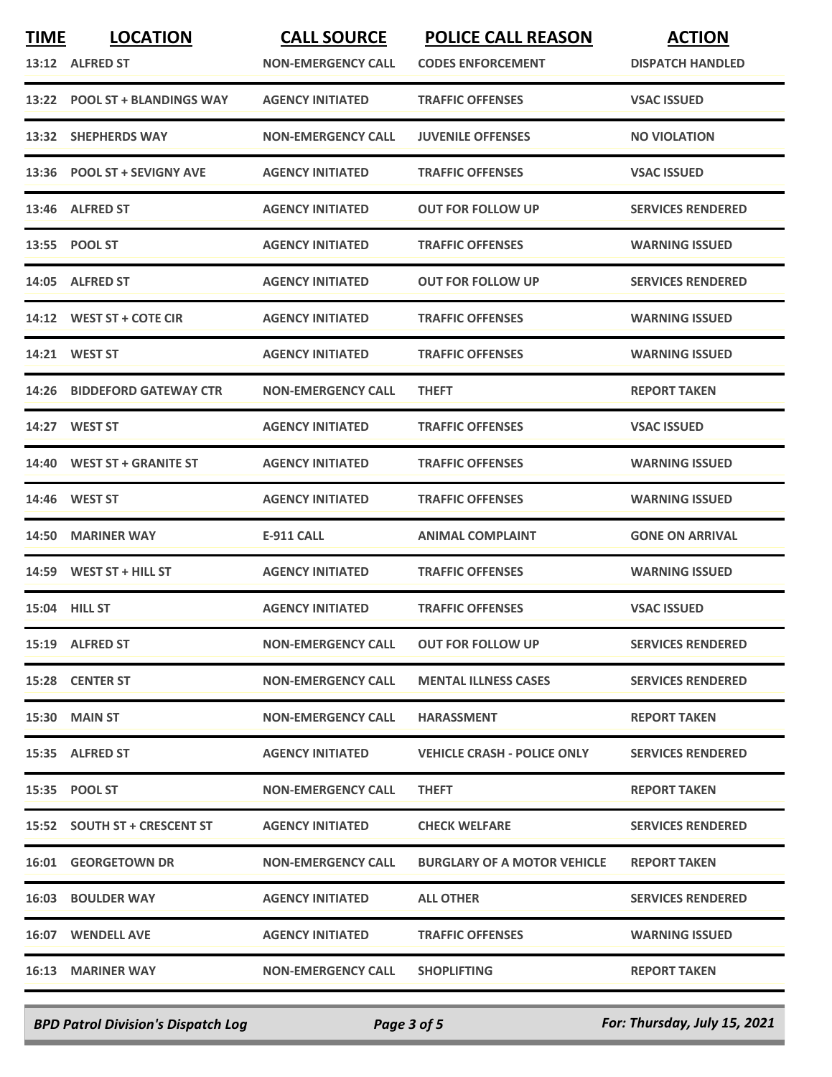| <b>TIME</b> | <b>LOCATION</b>               | <b>CALL SOURCE</b>        | <b>POLICE CALL REASON</b>          | <b>ACTION</b>            |
|-------------|-------------------------------|---------------------------|------------------------------------|--------------------------|
|             | 13:12 ALFRED ST               | <b>NON-EMERGENCY CALL</b> | <b>CODES ENFORCEMENT</b>           | <b>DISPATCH HANDLED</b>  |
|             | 13:22 POOL ST + BLANDINGS WAY | <b>AGENCY INITIATED</b>   | <b>TRAFFIC OFFENSES</b>            | <b>VSAC ISSUED</b>       |
| 13:32       | <b>SHEPHERDS WAY</b>          | <b>NON-EMERGENCY CALL</b> | <b>JUVENILE OFFENSES</b>           | <b>NO VIOLATION</b>      |
| 13:36       | <b>POOL ST + SEVIGNY AVE</b>  | <b>AGENCY INITIATED</b>   | <b>TRAFFIC OFFENSES</b>            | <b>VSAC ISSUED</b>       |
|             | 13:46 ALFRED ST               | <b>AGENCY INITIATED</b>   | <b>OUT FOR FOLLOW UP</b>           | <b>SERVICES RENDERED</b> |
|             | 13:55 POOL ST                 | <b>AGENCY INITIATED</b>   | <b>TRAFFIC OFFENSES</b>            | <b>WARNING ISSUED</b>    |
|             | 14:05 ALFRED ST               | <b>AGENCY INITIATED</b>   | <b>OUT FOR FOLLOW UP</b>           | <b>SERVICES RENDERED</b> |
|             | 14:12 WEST ST + COTE CIR      | <b>AGENCY INITIATED</b>   | <b>TRAFFIC OFFENSES</b>            | <b>WARNING ISSUED</b>    |
|             | 14:21 WEST ST                 | <b>AGENCY INITIATED</b>   | <b>TRAFFIC OFFENSES</b>            | <b>WARNING ISSUED</b>    |
| 14:26       | <b>BIDDEFORD GATEWAY CTR</b>  | <b>NON-EMERGENCY CALL</b> | <b>THEFT</b>                       | <b>REPORT TAKEN</b>      |
|             | 14:27 WEST ST                 | <b>AGENCY INITIATED</b>   | <b>TRAFFIC OFFENSES</b>            | <b>VSAC ISSUED</b>       |
| 14:40       | <b>WEST ST + GRANITE ST</b>   | <b>AGENCY INITIATED</b>   | <b>TRAFFIC OFFENSES</b>            | <b>WARNING ISSUED</b>    |
| 14:46       | <b>WEST ST</b>                | <b>AGENCY INITIATED</b>   | <b>TRAFFIC OFFENSES</b>            | <b>WARNING ISSUED</b>    |
| 14:50       | <b>MARINER WAY</b>            | E-911 CALL                | <b>ANIMAL COMPLAINT</b>            | <b>GONE ON ARRIVAL</b>   |
| 14:59       | WEST ST + HILL ST             | <b>AGENCY INITIATED</b>   | <b>TRAFFIC OFFENSES</b>            | <b>WARNING ISSUED</b>    |
|             | 15:04 HILL ST                 | <b>AGENCY INITIATED</b>   | <b>TRAFFIC OFFENSES</b>            | <b>VSAC ISSUED</b>       |
|             | 15:19 ALFRED ST               | <b>NON-EMERGENCY CALL</b> | <b>OUT FOR FOLLOW UP</b>           | <b>SERVICES RENDERED</b> |
|             | 15:28 CENTER ST               | <b>NON-EMERGENCY CALL</b> | <b>MENTAL ILLNESS CASES</b>        | <b>SERVICES RENDERED</b> |
|             | 15:30 MAIN ST                 | <b>NON-EMERGENCY CALL</b> | <b>HARASSMENT</b>                  | <b>REPORT TAKEN</b>      |
|             | 15:35 ALFRED ST               | <b>AGENCY INITIATED</b>   | <b>VEHICLE CRASH - POLICE ONLY</b> | <b>SERVICES RENDERED</b> |
|             | 15:35 POOL ST                 | <b>NON-EMERGENCY CALL</b> | <b>THEFT</b>                       | <b>REPORT TAKEN</b>      |
|             | 15:52 SOUTH ST + CRESCENT ST  | <b>AGENCY INITIATED</b>   | <b>CHECK WELFARE</b>               | <b>SERVICES RENDERED</b> |
|             | 16:01 GEORGETOWN DR           | <b>NON-EMERGENCY CALL</b> | <b>BURGLARY OF A MOTOR VEHICLE</b> | <b>REPORT TAKEN</b>      |
|             | <b>16:03 BOULDER WAY</b>      | <b>AGENCY INITIATED</b>   | <b>ALL OTHER</b>                   | <b>SERVICES RENDERED</b> |
|             | 16:07 WENDELL AVE             | <b>AGENCY INITIATED</b>   | <b>TRAFFIC OFFENSES</b>            | <b>WARNING ISSUED</b>    |
|             | 16:13 MARINER WAY             | <b>NON-EMERGENCY CALL</b> | <b>SHOPLIFTING</b>                 | <b>REPORT TAKEN</b>      |
|             |                               |                           |                                    |                          |

*BPD Patrol Division's Dispatch Log Page 3 of 5 For: Thursday, July 15, 2021*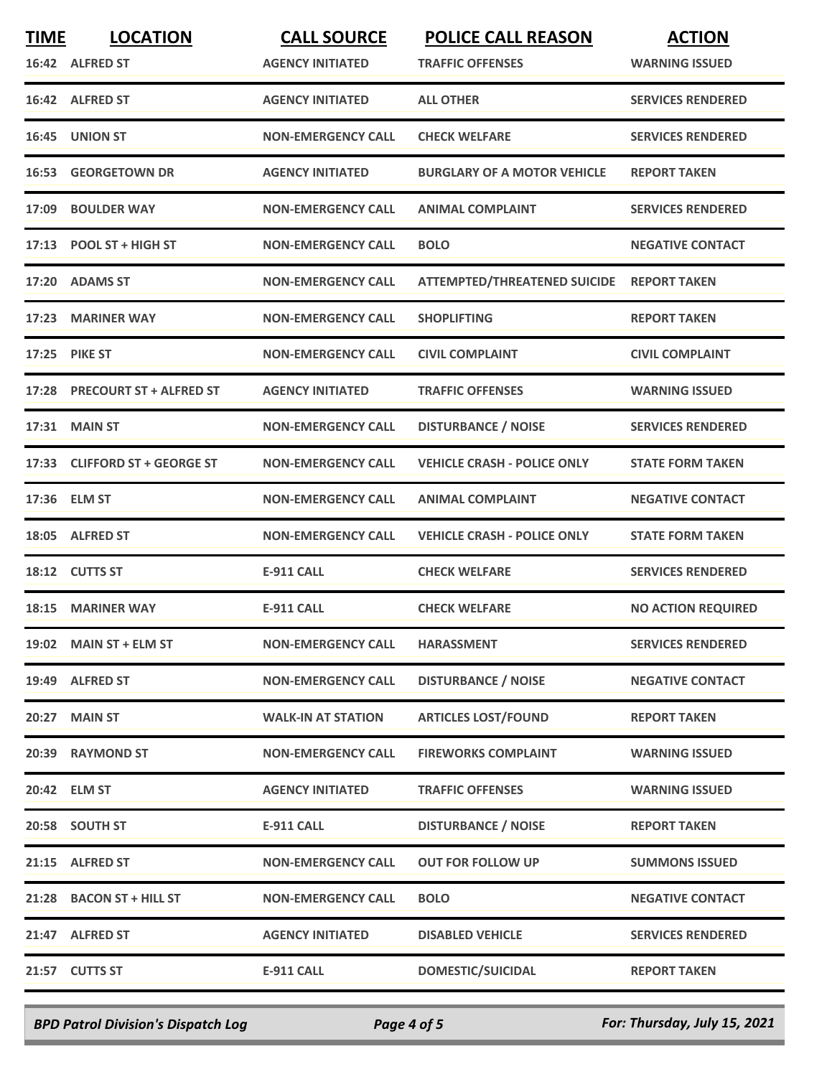| <b>TIME</b> | <b>LOCATION</b><br>16:42 ALFRED ST | <b>CALL SOURCE</b><br><b>AGENCY INITIATED</b> | <b>POLICE CALL REASON</b><br><b>TRAFFIC OFFENSES</b> | <b>ACTION</b><br><b>WARNING ISSUED</b> |
|-------------|------------------------------------|-----------------------------------------------|------------------------------------------------------|----------------------------------------|
|             | 16:42 ALFRED ST                    | <b>AGENCY INITIATED</b>                       | <b>ALL OTHER</b>                                     | <b>SERVICES RENDERED</b>               |
|             | 16:45 UNION ST                     | <b>NON-EMERGENCY CALL</b>                     | <b>CHECK WELFARE</b>                                 | <b>SERVICES RENDERED</b>               |
| 16:53       | <b>GEORGETOWN DR</b>               | <b>AGENCY INITIATED</b>                       | <b>BURGLARY OF A MOTOR VEHICLE</b>                   | <b>REPORT TAKEN</b>                    |
| 17:09       | <b>BOULDER WAY</b>                 | <b>NON-EMERGENCY CALL</b>                     | <b>ANIMAL COMPLAINT</b>                              | <b>SERVICES RENDERED</b>               |
|             | 17:13 POOL ST + HIGH ST            | <b>NON-EMERGENCY CALL</b>                     | <b>BOLO</b>                                          | <b>NEGATIVE CONTACT</b>                |
| 17:20       | <b>ADAMS ST</b>                    | <b>NON-EMERGENCY CALL</b>                     | <b>ATTEMPTED/THREATENED SUICIDE</b>                  | <b>REPORT TAKEN</b>                    |
| 17:23       | <b>MARINER WAY</b>                 | <b>NON-EMERGENCY CALL</b>                     | <b>SHOPLIFTING</b>                                   | <b>REPORT TAKEN</b>                    |
| 17:25       | <b>PIKE ST</b>                     | <b>NON-EMERGENCY CALL</b>                     | <b>CIVIL COMPLAINT</b>                               | <b>CIVIL COMPLAINT</b>                 |
|             | 17:28 PRECOURT ST + ALFRED ST      | <b>AGENCY INITIATED</b>                       | <b>TRAFFIC OFFENSES</b>                              | <b>WARNING ISSUED</b>                  |
| 17:31       | <b>MAIN ST</b>                     | <b>NON-EMERGENCY CALL</b>                     | <b>DISTURBANCE / NOISE</b>                           | <b>SERVICES RENDERED</b>               |
| 17:33       | <b>CLIFFORD ST + GEORGE ST</b>     | <b>NON-EMERGENCY CALL</b>                     | <b>VEHICLE CRASH - POLICE ONLY</b>                   | <b>STATE FORM TAKEN</b>                |
| 17:36       | <b>ELM ST</b>                      | <b>NON-EMERGENCY CALL</b>                     | <b>ANIMAL COMPLAINT</b>                              | <b>NEGATIVE CONTACT</b>                |
|             | 18:05 ALFRED ST                    | <b>NON-EMERGENCY CALL</b>                     | <b>VEHICLE CRASH - POLICE ONLY</b>                   | <b>STATE FORM TAKEN</b>                |
|             | 18:12 CUTTS ST                     | <b>E-911 CALL</b>                             | <b>CHECK WELFARE</b>                                 | <b>SERVICES RENDERED</b>               |
| 18:15       | <b>MARINER WAY</b>                 | <b>E-911 CALL</b>                             | <b>CHECK WELFARE</b>                                 | <b>NO ACTION REQUIRED</b>              |
|             | 19:02 MAIN ST + ELM ST             | <b>NON-EMERGENCY CALL</b>                     | <b>HARASSMENT</b>                                    | <b>SERVICES RENDERED</b>               |
|             | 19:49 ALFRED ST                    | <b>NON-EMERGENCY CALL</b>                     | <b>DISTURBANCE / NOISE</b>                           | <b>NEGATIVE CONTACT</b>                |
|             | 20:27 MAIN ST                      | <b>WALK-IN AT STATION</b>                     | <b>ARTICLES LOST/FOUND</b>                           | <b>REPORT TAKEN</b>                    |
|             | 20:39 RAYMOND ST                   | <b>NON-EMERGENCY CALL</b>                     | <b>FIREWORKS COMPLAINT</b>                           | <b>WARNING ISSUED</b>                  |
|             | 20:42 ELM ST                       | <b>AGENCY INITIATED</b>                       | <b>TRAFFIC OFFENSES</b>                              | <b>WARNING ISSUED</b>                  |
|             | 20:58 SOUTH ST                     | <b>E-911 CALL</b>                             | <b>DISTURBANCE / NOISE</b>                           | <b>REPORT TAKEN</b>                    |
|             | 21:15 ALFRED ST                    | <b>NON-EMERGENCY CALL</b>                     | <b>OUT FOR FOLLOW UP</b>                             | <b>SUMMONS ISSUED</b>                  |
|             | 21:28 BACON ST + HILL ST           | <b>NON-EMERGENCY CALL</b>                     | <b>BOLO</b>                                          | <b>NEGATIVE CONTACT</b>                |
|             | 21:47 ALFRED ST                    | <b>AGENCY INITIATED</b>                       | <b>DISABLED VEHICLE</b>                              | <b>SERVICES RENDERED</b>               |
|             | 21:57 CUTTS ST                     | E-911 CALL                                    | <b>DOMESTIC/SUICIDAL</b>                             | <b>REPORT TAKEN</b>                    |
|             |                                    |                                               |                                                      |                                        |

*BPD Patrol Division's Dispatch Log Page 4 of 5 For: Thursday, July 15, 2021*